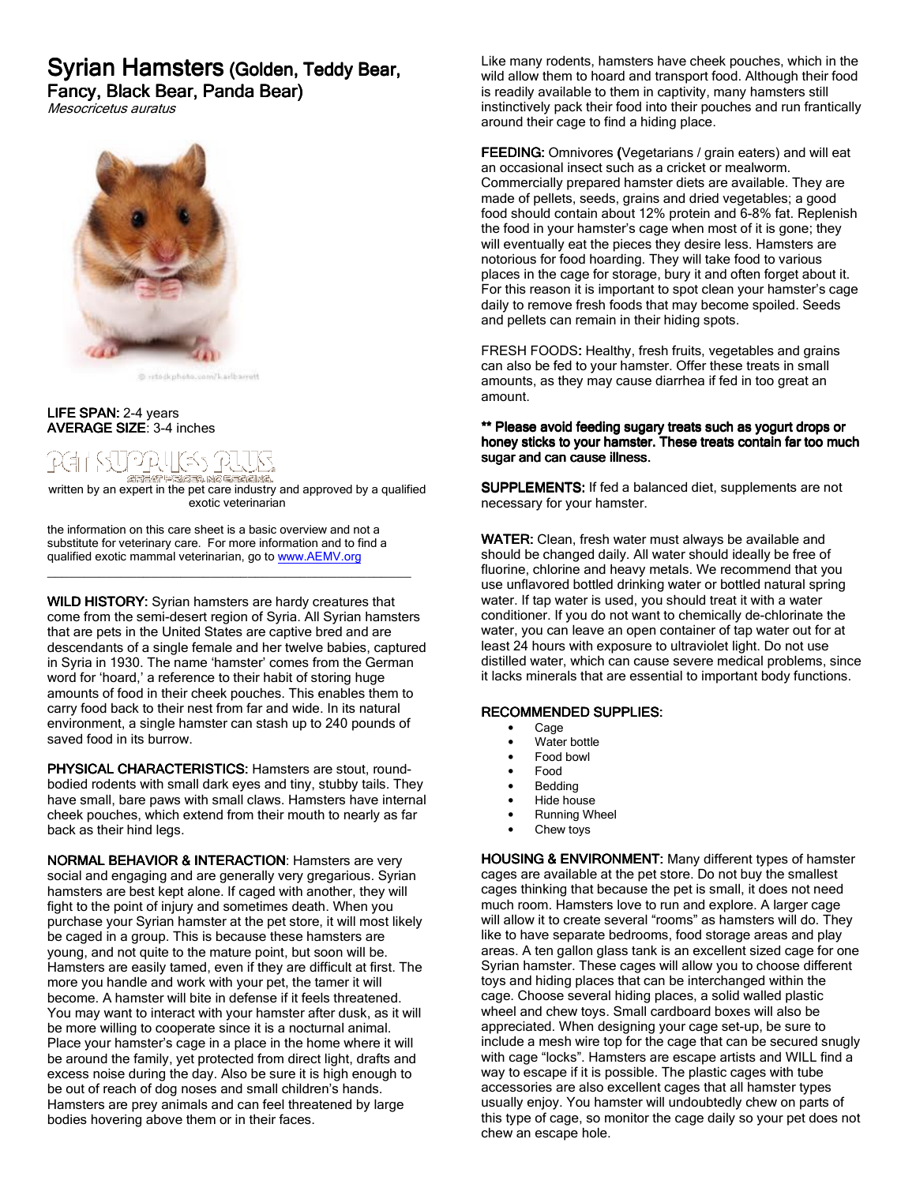# Syrian Hamsters (Golden, Teddy Bear,

Fancy, Black Bear, Panda Bear)

Mesocricetus auratus



@ reto-ikphoto.com/Larlbarrett

## LIFE SPAN: 2-4 years AVERAGE SIZE: 3-4 inches

# 7번 (군 1

\_<br>written by an expert in the pet care industry and approved by a qualified exotic veterinarian

the information on this care sheet is a basic overview and not a substitute for veterinary care. For more information and to find a qualified exotic mammal veterinarian, go to www.AEMV.org

\_\_\_\_\_\_\_\_\_\_\_\_\_\_\_\_\_\_\_\_\_\_\_\_\_\_\_\_\_\_\_\_\_\_\_\_\_\_\_\_\_\_\_\_\_\_\_\_\_

WILD HISTORY: Syrian hamsters are hardy creatures that come from the semi-desert region of Syria. All Syrian hamsters that are pets in the United States are captive bred and are descendants of a single female and her twelve babies, captured in Syria in 1930. The name 'hamster' comes from the German word for 'hoard,' a reference to their habit of storing huge amounts of food in their cheek pouches. This enables them to carry food back to their nest from far and wide. In its natural environment, a single hamster can stash up to 240 pounds of saved food in its burrow.

PHYSICAL CHARACTERISTICS: Hamsters are stout, roundbodied rodents with small dark eyes and tiny, stubby tails. They have small, bare paws with small claws. Hamsters have internal cheek pouches, which extend from their mouth to nearly as far back as their hind legs.

NORMAL BEHAVIOR & INTERACTION: Hamsters are very social and engaging and are generally very gregarious. Syrian hamsters are best kept alone. If caged with another, they will fight to the point of injury and sometimes death. When you purchase your Syrian hamster at the pet store, it will most likely be caged in a group. This is because these hamsters are young, and not quite to the mature point, but soon will be. Hamsters are easily tamed, even if they are difficult at first. The more you handle and work with your pet, the tamer it will become. A hamster will bite in defense if it feels threatened. You may want to interact with your hamster after dusk, as it will be more willing to cooperate since it is a nocturnal animal. Place your hamster's cage in a place in the home where it will be around the family, yet protected from direct light, drafts and excess noise during the day. Also be sure it is high enough to be out of reach of dog noses and small children's hands. Hamsters are prey animals and can feel threatened by large bodies hovering above them or in their faces.

Like many rodents, hamsters have cheek pouches, which in the wild allow them to hoard and transport food. Although their food is readily available to them in captivity, many hamsters still instinctively pack their food into their pouches and run frantically around their cage to find a hiding place.

FEEDING: Omnivores (Vegetarians / grain eaters) and will eat an occasional insect such as a cricket or mealworm. Commercially prepared hamster diets are available. They are made of pellets, seeds, grains and dried vegetables; a good food should contain about 12% protein and 6-8% fat. Replenish the food in your hamster's cage when most of it is gone; they will eventually eat the pieces they desire less. Hamsters are notorious for food hoarding. They will take food to various places in the cage for storage, bury it and often forget about it. For this reason it is important to spot clean your hamster's cage daily to remove fresh foods that may become spoiled. Seeds and pellets can remain in their hiding spots.

FRESH FOODS: Healthy, fresh fruits, vegetables and grains can also be fed to your hamster. Offer these treats in small amounts, as they may cause diarrhea if fed in too great an amount.

# \*\* Please avoid feeding sugary treats such as yogurt drops or honey sticks to your hamster. These treats contain far too much sugar and can cause illness.

SUPPLEMENTS: If fed a balanced diet, supplements are not necessary for your hamster.

WATER: Clean, fresh water must always be available and should be changed daily. All water should ideally be free of fluorine, chlorine and heavy metals. We recommend that you use unflavored bottled drinking water or bottled natural spring water. If tap water is used, you should treat it with a water conditioner. If you do not want to chemically de-chlorinate the water, you can leave an open container of tap water out for at least 24 hours with exposure to ultraviolet light. Do not use distilled water, which can cause severe medical problems, since it lacks minerals that are essential to important body functions.

## RECOMMENDED SUPPLIES:

- Cage
- Water bottle
- Food bowl
- Food
- **Bedding**
- Hide house
- Running Wheel
- Chew toys

HOUSING & ENVIRONMENT: Many different types of hamster cages are available at the pet store. Do not buy the smallest cages thinking that because the pet is small, it does not need much room. Hamsters love to run and explore. A larger cage will allow it to create several "rooms" as hamsters will do. They like to have separate bedrooms, food storage areas and play areas. A ten gallon glass tank is an excellent sized cage for one Syrian hamster. These cages will allow you to choose different toys and hiding places that can be interchanged within the cage. Choose several hiding places, a solid walled plastic wheel and chew toys. Small cardboard boxes will also be appreciated. When designing your cage set-up, be sure to include a mesh wire top for the cage that can be secured snugly with cage "locks". Hamsters are escape artists and WILL find a way to escape if it is possible. The plastic cages with tube accessories are also excellent cages that all hamster types usually enjoy. You hamster will undoubtedly chew on parts of this type of cage, so monitor the cage daily so your pet does not chew an escape hole.